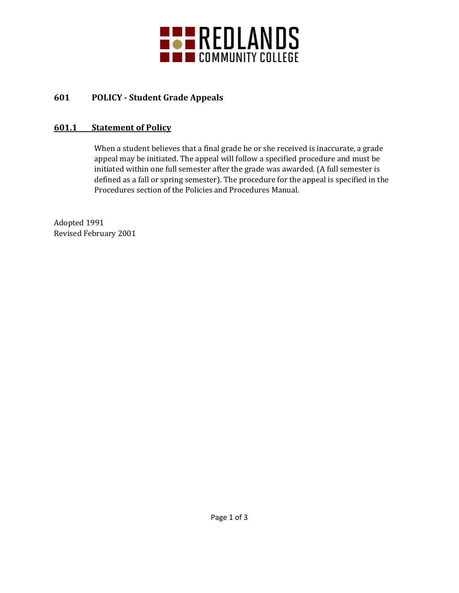

# **601 POLICY - Student Grade Appeals**

### **601.1 Statement of Policy**

When a student believes that a final grade he or she received is inaccurate, a grade appeal may be initiated. The appeal will follow a specified procedure and must be initiated within one full semester after the grade was awarded. (A full semester is defined as a fall or spring semester). The procedure for the appeal is specified in the Procedures section of the Policies and Procedures Manual.

Adopted 1991 Revised February 2001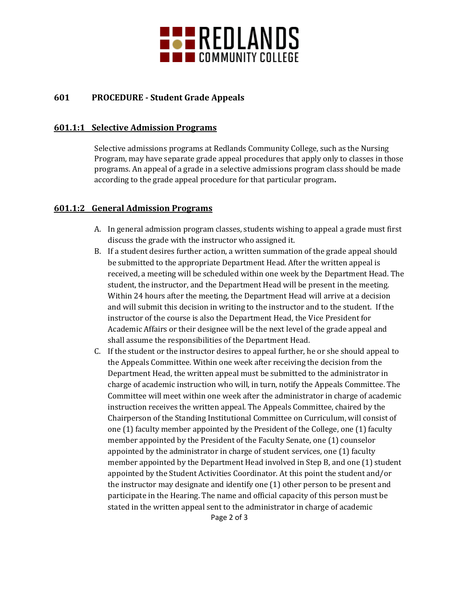

## **601 PROCEDURE - Student Grade Appeals**

#### **601.1:1 Selective Admission Programs**

Selective admissions programs at Redlands Community College, such as the Nursing Program, may have separate grade appeal procedures that apply only to classes in those programs. An appeal of a grade in a selective admissions program class should be made according to the grade appeal procedure for that particular program**.**

#### **601.1:2 General Admission Programs**

- A. In general admission program classes, students wishing to appeal a grade must first discuss the grade with the instructor who assigned it.
- B. If a student desires further action, a written summation of the grade appeal should be submitted to the appropriate Department Head. After the written appeal is received, a meeting will be scheduled within one week by the Department Head. The student, the instructor, and the Department Head will be present in the meeting. Within 24 hours after the meeting, the Department Head will arrive at a decision and will submit this decision in writing to the instructor and to the student. If the instructor of the course is also the Department Head, the Vice President for Academic Affairs or their designee will be the next level of the grade appeal and shall assume the responsibilities of the Department Head.
- C. If the student or the instructor desires to appeal further, he or she should appeal to the Appeals Committee. Within one week after receiving the decision from the Department Head, the written appeal must be submitted to the administrator in charge of academic instruction who will, in turn, notify the Appeals Committee. The Committee will meet within one week after the administrator in charge of academic instruction receives the written appeal. The Appeals Committee, chaired by the Chairperson of the Standing Institutional Committee on Curriculum, will consist of one (1) faculty member appointed by the President of the College, one (1) faculty member appointed by the President of the Faculty Senate, one (1) counselor appointed by the administrator in charge of student services, one (1) faculty member appointed by the Department Head involved in Step B, and one (1) student appointed by the Student Activities Coordinator. At this point the student and/or the instructor may designate and identify one (1) other person to be present and participate in the Hearing. The name and official capacity of this person must be stated in the written appeal sent to the administrator in charge of academic